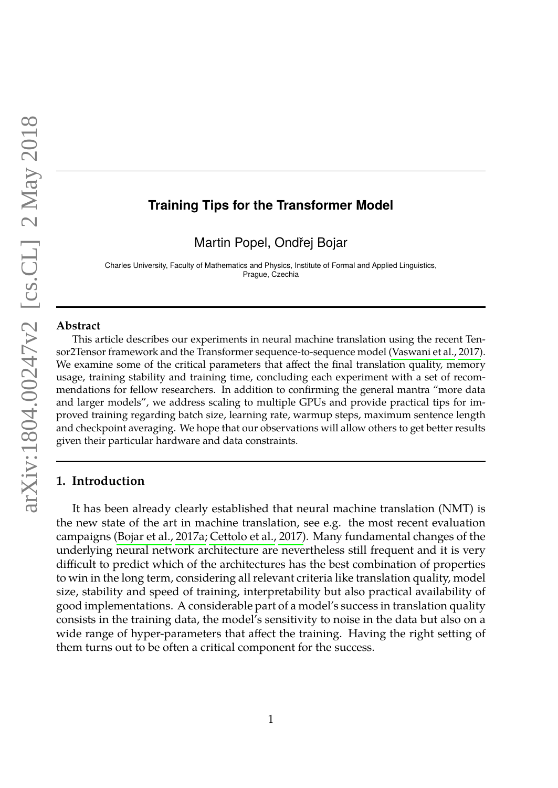# **Training Tips for the Transformer Model**

Martin Popel, Ondřej Bojar

Charles University, Faculty of Mathematics and Physics, Institute of Formal and Applied Linguistics, Prague, Czechia

### **Abstract**

This article describes our experiments in neural machine translation using the recent Tensor2Tensor framework and the Transformer sequence-to-sequence model [\(Vaswani et al., 2017\)](#page-27-0). We examine some of the critical parameters that affect the final translation quality, memory usage, training stability and training time, concluding each experiment with a set of recommendations for fellow researchers. In addition to confirming the general mantra "more data and larger models", we address scaling to multiple GPUs and provide practical tips for improved training regarding batch size, learning rate, warmup steps, maximum sentence length and checkpoint averaging. We hope that our observations will allow others to get better results given their particular hardware and data constraints.

# **1. Introduction**

It has been already clearly established that neural machine translation (NMT) is the new state of the art in machine translation, see e.g. the most recent evaluation campaigns [\(Bojar et al., 2017a;](#page-26-0) [Cettolo et al., 2017\)](#page-26-1). Many fundamental changes of the underlying neural network architecture are nevertheless still frequent and it is very difficult to predict which of the architectures has the best combination of properties to win in the long term, considering all relevant criteria like translation quality, model size, stability and speed of training, interpretability but also practical availability of good implementations. A considerable part of a model's success in translation quality consists in the training data, the model's sensitivity to noise in the data but also on a wide range of hyper-parameters that affect the training. Having the right setting of them turns out to be often a critical component for the success.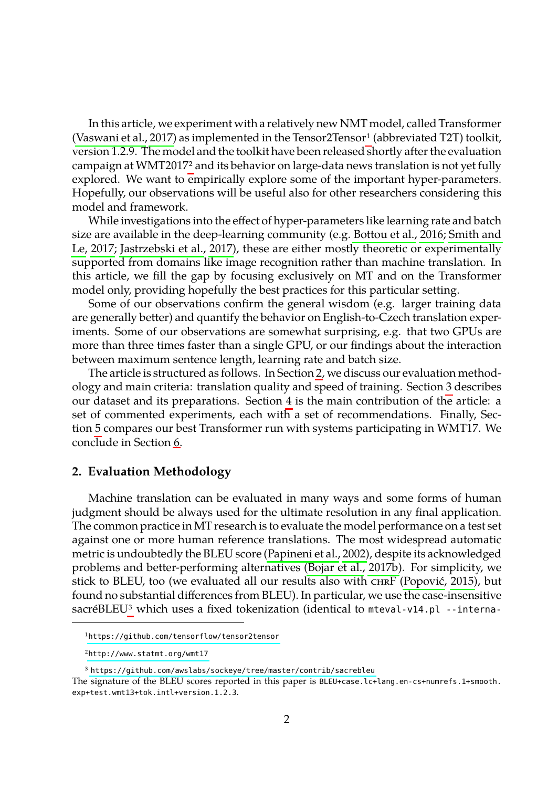In this article, we experiment with a relatively new NMT model, called Transformer [\(Vaswani et al., 2017\)](#page-27-0) as implemented in the Tensor2Tensor<sup>1</sup> (abbreviated T2T) toolkit, version 1.2.9. The model and the toolkit have been released shortly after the evaluation campaign at WMT2017<sup>2</sup> and its behavior on large-data news translation is not yet fully explored. We want to empirically explore some of the important hyper-parameters. Hopefully, our observations will be useful also for other researchers considering this model and framework.

While investigations into the effect of hyper-parameters like learning rate and batch size are available in the deep-learning community (e.g. [Bottou et al., 2016;](#page-26-2) [Smith and](#page-27-1) [Le, 2017;](#page-27-1) [Jastrzebski et al., 2017\)](#page-26-3), these are either mostly theoretic or experimentally supported from domains like image recognition rather than machine translation. In this article, we fill the gap by focusing exclusively on MT and on the Transformer model only, providing hopefully the best practices for this particular setting.

Some of our observations confirm the general wisdom (e.g. larger training data are generally better) and quantify the behavior on English-to-Czech translation experiments. Some of our observations are somewhat surprising, e.g. that two GPUs are more than three times faster than a single GPU, or our findings about the interaction between maximum sentence length, learning rate and batch size.

The article is structured as follows. In Section [2,](#page-1-2) we discuss our evaluation methodology and main criteria: translation quality and speed of training. Section [3](#page-5-0) describes our dataset and its preparations. Section [4](#page-7-0) is the main contribution of the article: a set of commented experiments, each with a set of recommendations. Finally, Section [5](#page-24-0) compares our best Transformer run with systems participating in WMT17. We conclude in Section [6.](#page-25-0)

## <span id="page-1-2"></span>**2. Evaluation Methodology**

Machine translation can be evaluated in many ways and some forms of human judgment should be always used for the ultimate resolution in any final application. The common practice in MT research is to evaluate the model performance on a test set against one or more human reference translations. The most widespread automatic metric is undoubtedly the BLEU score [\(Papineni et al., 2002\)](#page-27-2), despite its acknowledged problems and better-performing alternatives [\(Bojar et al., 2017b\)](#page-26-4). For simplicity, we stick to BLEU, too (we evaluated all our results also with CHRF [\(Popović, 2015\)](#page-27-3), but found no substantial differences from BLEU). In particular, we use the case-insensitive sacréBLEU<sup>3</sup> which uses a fixed tokenization (identical to mteval-v14.pl --interna-

<span id="page-1-0"></span><sup>1</sup><https://github.com/tensorflow/tensor2tensor>

<span id="page-1-1"></span><sup>2</sup><http://www.statmt.org/wmt17>

<span id="page-1-3"></span><sup>3</sup> <https://github.com/awslabs/sockeye/tree/master/contrib/sacrebleu>

The signature of the BLEU scores reported in this paper is BLEU+case.lc+lang.en-cs+numrefs.1+smooth. exp+test.wmt13+tok.intl+version.1.2.3.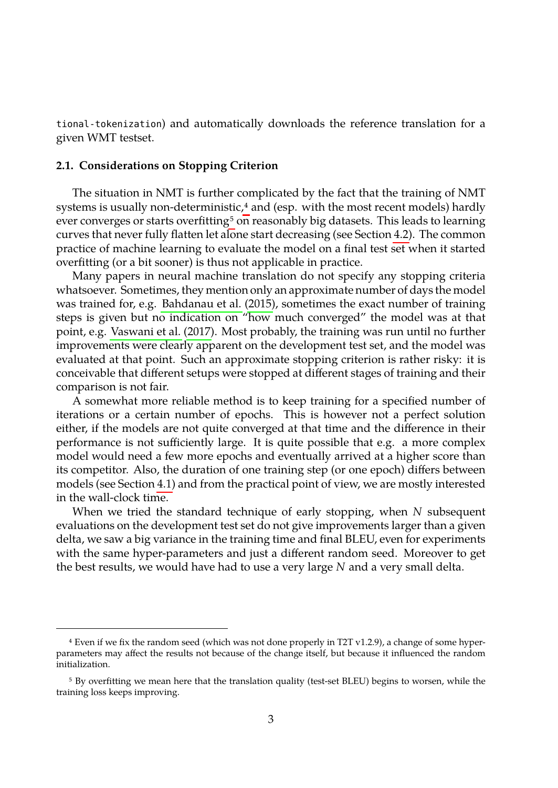tional-tokenization) and automatically downloads the reference translation for a given WMT testset.

### **2.1. Considerations on Stopping Criterion**

The situation in NMT is further complicated by the fact that the training of NMT systems is usually non-deterministic,<sup>4</sup> and (esp. with the most recent models) hardly ever converges or starts overfitting<sup>5</sup> on reasonably big datasets. This leads to learning curves that never fully flatten let alone start decreasing (see Section [4.2\)](#page-9-0). The common practice of machine learning to evaluate the model on a final test set when it started overfitting (or a bit sooner) is thus not applicable in practice.

Many papers in neural machine translation do not specify any stopping criteria whatsoever. Sometimes, they mention only an approximate number of days the model was trained for, e.g. [Bahdanau et al.](#page-25-1) [\(2015\)](#page-25-1), sometimes the exact number of training steps is given but no indication on "how much converged" the model was at that point, e.g. [Vaswani et al.](#page-27-0) [\(2017\)](#page-27-0). Most probably, the training was run until no further improvements were clearly apparent on the development test set, and the model was evaluated at that point. Such an approximate stopping criterion is rather risky: it is conceivable that different setups were stopped at different stages of training and their comparison is not fair.

A somewhat more reliable method is to keep training for a specified number of iterations or a certain number of epochs. This is however not a perfect solution either, if the models are not quite converged at that time and the difference in their performance is not sufficiently large. It is quite possible that e.g. a more complex model would need a few more epochs and eventually arrived at a higher score than its competitor. Also, the duration of one training step (or one epoch) differs between models (see Section [4.1\)](#page-7-1) and from the practical point of view, we are mostly interested in the wall-clock time.

When we tried the standard technique of early stopping, when *N* subsequent evaluations on the development test set do not give improvements larger than a given delta, we saw a big variance in the training time and final BLEU, even for experiments with the same hyper-parameters and just a different random seed. Moreover to get the best results, we would have had to use a very large *N* and a very small delta.

<span id="page-2-0"></span><sup>4</sup> Even if we fix the random seed (which was not done properly in T2T v1.2.9), a change of some hyperparameters may affect the results not because of the change itself, but because it influenced the random initialization.

<span id="page-2-1"></span><sup>5</sup> By overfitting we mean here that the translation quality (test-set BLEU) begins to worsen, while the training loss keeps improving.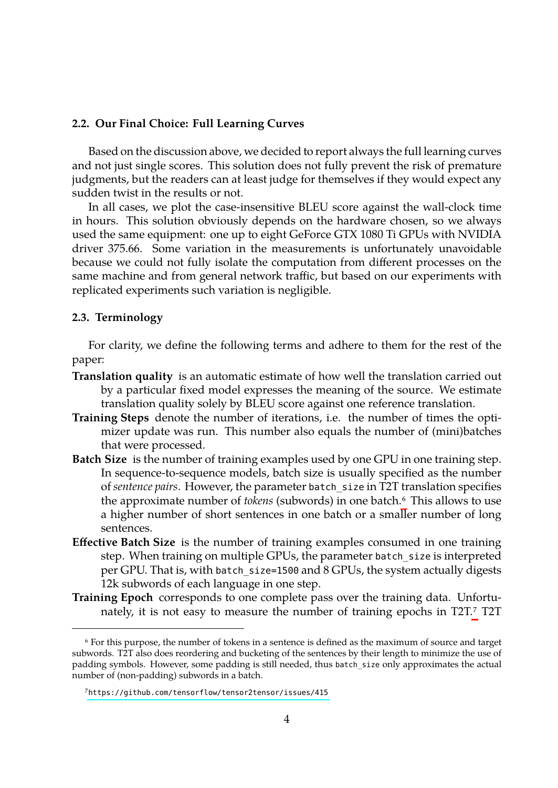# **2.2. Our Final Choice: Full Learning Curves**

Based on the discussion above, we decided to report always the full learning curves and not just single scores. This solution does not fully prevent the risk of premature judgments, but the readers can at least judge for themselves if they would expect any sudden twist in the results or not.

In all cases, we plot the case-insensitive BLEU score against the wall-clock time in hours. This solution obviously depends on the hardware chosen, so we always used the same equipment: one up to eight GeForce GTX 1080 Ti GPUs with NVIDIA driver 375.66. Some variation in the measurements is unfortunately unavoidable because we could not fully isolate the computation from different processes on the same machine and from general network traffic, but based on our experiments with replicated experiments such variation is negligible.

### <span id="page-3-2"></span>**2.3. Terminology**

For clarity, we define the following terms and adhere to them for the rest of the paper:

- **Translation quality** is an automatic estimate of how well the translation carried out by a particular fixed model expresses the meaning of the source. We estimate translation quality solely by BLEU score against one reference translation.
- **Training Steps** denote the number of iterations, i.e. the number of times the optimizer update was run. This number also equals the number of (mini)batches that were processed.
- **Batch Size** is the number of training examples used by one GPU in one training step. In sequence-to-sequence models, batch size is usually specified as the number of *sentence pairs*. However, the parameter batch\_size in T2T translation specifies the approximate number of *tokens* (subwords) in one batch.<sup>6</sup> This allows to use a higher number of short sentences in one batch or a smaller number of long sentences.
- **Effective Batch Size** is the number of training examples consumed in one training step. When training on multiple GPUs, the parameter batch size is interpreted per GPU. That is, with batch size=1500 and 8 GPUs, the system actually digests 12k subwords of each language in one step.
- **Training Epoch** corresponds to one complete pass over the training data. Unfortunately, it is not easy to measure the number of training epochs in T2T.<sup>7</sup> T2T

<span id="page-3-0"></span><sup>6</sup> For this purpose, the number of tokens in a sentence is defined as the maximum of source and target subwords. T2T also does reordering and bucketing of the sentences by their length to minimize the use of padding symbols. However, some padding is still needed, thus batch\_size only approximates the actual number of (non-padding) subwords in a batch.

<span id="page-3-1"></span><sup>7</sup><https://github.com/tensorflow/tensor2tensor/issues/415>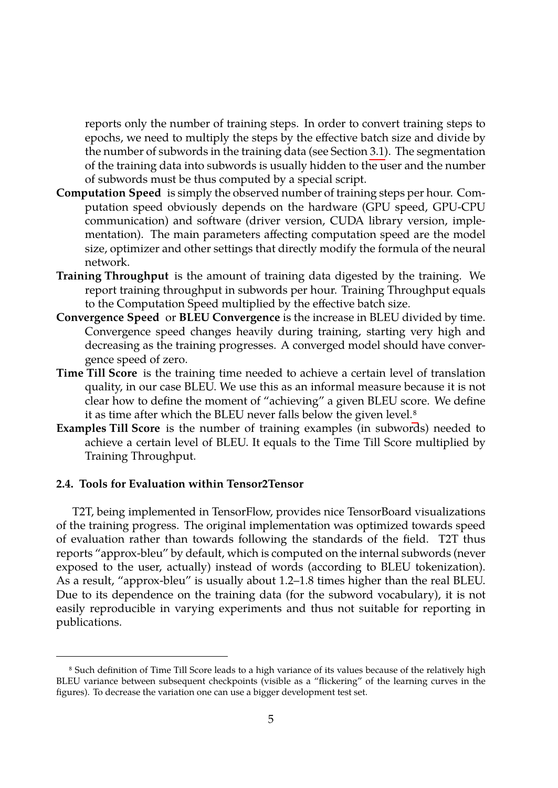reports only the number of training steps. In order to convert training steps to epochs, we need to multiply the steps by the effective batch size and divide by the number of subwords in the training data (see Section [3.1\)](#page-6-0). The segmentation of the training data into subwords is usually hidden to the user and the number of subwords must be thus computed by a special script.

- **Computation Speed** is simply the observed number of training steps per hour. Computation speed obviously depends on the hardware (GPU speed, GPU-CPU communication) and software (driver version, CUDA library version, implementation). The main parameters affecting computation speed are the model size, optimizer and other settings that directly modify the formula of the neural network.
- **Training Throughput** is the amount of training data digested by the training. We report training throughput in subwords per hour. Training Throughput equals to the Computation Speed multiplied by the effective batch size.
- **Convergence Speed** or **BLEU Convergence** is the increase in BLEU divided by time. Convergence speed changes heavily during training, starting very high and decreasing as the training progresses. A converged model should have convergence speed of zero.
- **Time Till Score** is the training time needed to achieve a certain level of translation quality, in our case BLEU. We use this as an informal measure because it is not clear how to define the moment of "achieving" a given BLEU score. We define it as time after which the BLEU never falls below the given level.<sup>8</sup>
- **Examples Till Score** is the number of training examples (in subwords) needed to achieve a certain level of BLEU. It equals to the Time Till Score multiplied by Training Throughput.

# <span id="page-4-1"></span>**2.4. Tools for Evaluation within Tensor2Tensor**

T2T, being implemented in TensorFlow, provides nice TensorBoard visualizations of the training progress. The original implementation was optimized towards speed of evaluation rather than towards following the standards of the field. T2T thus reports "approx-bleu" by default, which is computed on the internal subwords (never exposed to the user, actually) instead of words (according to BLEU tokenization). As a result, "approx-bleu" is usually about 1.2–1.8 times higher than the real BLEU. Due to its dependence on the training data (for the subword vocabulary), it is not easily reproducible in varying experiments and thus not suitable for reporting in publications.

<span id="page-4-0"></span><sup>&</sup>lt;sup>8</sup> Such definition of Time Till Score leads to a high variance of its values because of the relatively high BLEU variance between subsequent checkpoints (visible as a "flickering" of the learning curves in the figures). To decrease the variation one can use a bigger development test set.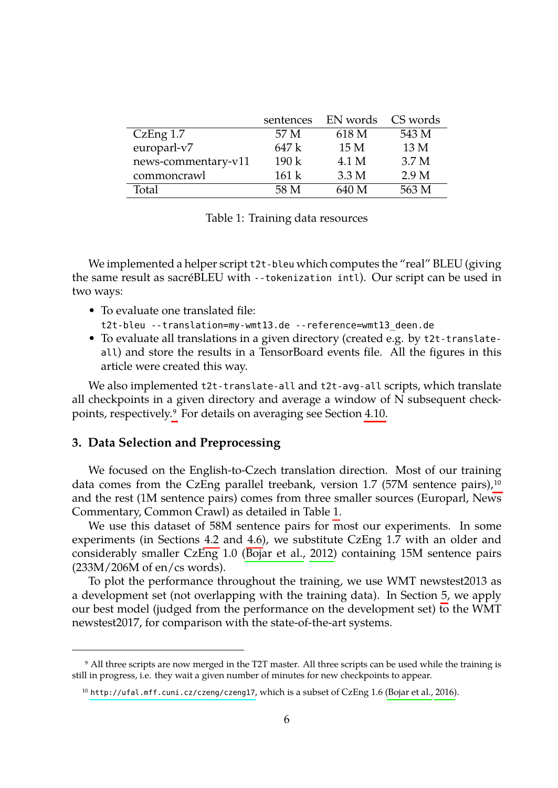<span id="page-5-3"></span>

|                     | sentences | EN words | CS words         |
|---------------------|-----------|----------|------------------|
| CzEng 1.7           | 57 M      | 618 M    | 543 M            |
| europarl-v7         | 647 k     | 15M      | 13M              |
| news-commentary-v11 | 190k      | 4.1 M    | 3.7 M            |
| commoncrawl         | 161k      | 3.3 M    | 2.9 <sub>M</sub> |
| Total               | 58 M      | 640 M    | 563 M            |

| Table 1: Training data resources |  |
|----------------------------------|--|
|                                  |  |

We implemented a helper script t2t-bleu which computes the "real" BLEU (giving the same result as sacréBLEU with --tokenization intl). Our script can be used in two ways:

• To evaluate one translated file:

t2t-bleu --translation=my-wmt13.de --reference=wmt13\_deen.de

• To evaluate all translations in a given directory (created e.g. by t2t-translateall) and store the results in a TensorBoard events file. All the figures in this article were created this way.

We also implemented t2t-translate-all and t2t-avg-all scripts, which translate all checkpoints in a given directory and average a window of N subsequent checkpoints, respectively[.9](#page-5-1) For details on averaging see Section [4.10.](#page-23-0)

# <span id="page-5-0"></span>**3. Data Selection and Preprocessing**

We focused on the English-to-Czech translation direction. Most of our training data comes from the CzEng parallel treebank, version 1.7 (57M sentence pairs),<sup>10</sup> and the rest (1M sentence pairs) comes from three smaller sources (Europarl, News Commentary, Common Crawl) as detailed in Table [1.](#page-5-3)

We use this dataset of 58M sentence pairs for most our experiments. In some experiments (in Sections [4.2](#page-9-0) and [4.6\)](#page-16-0), we substitute CzEng 1.7 with an older and considerably smaller CzEng 1.0 [\(Bojar et al., 2012\)](#page-25-2) containing 15M sentence pairs (233M/206M of en/cs words).

To plot the performance throughout the training, we use WMT newstest2013 as a development set (not overlapping with the training data). In Section [5,](#page-24-0) we apply our best model (judged from the performance on the development set) to the WMT newstest2017, for comparison with the state-of-the-art systems.

<span id="page-5-1"></span><sup>9</sup> All three scripts are now merged in the T2T master. All three scripts can be used while the training is still in progress, i.e. they wait a given number of minutes for new checkpoints to appear.

<span id="page-5-2"></span><sup>&</sup>lt;sup>10</sup> <http://ufal.mff.cuni.cz/czeng/czeng17>, which is a subset of CzEng 1.6 [\(Bojar et al., 2016\)](#page-25-3).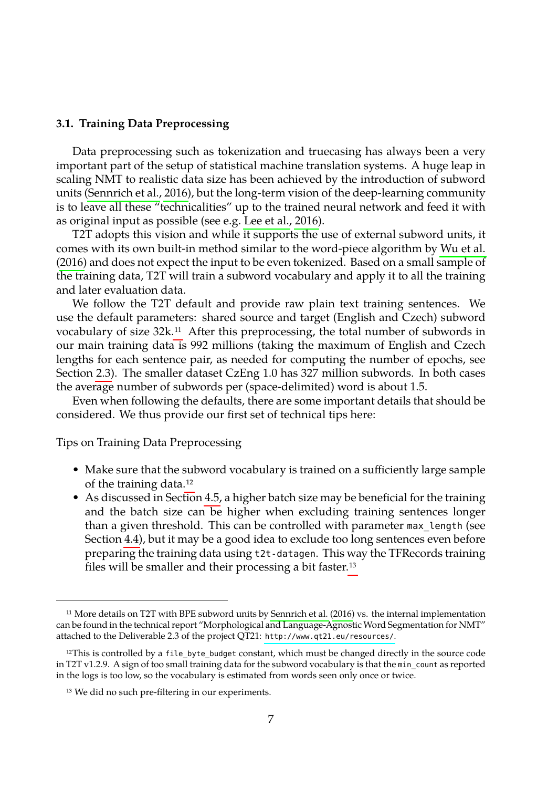### <span id="page-6-0"></span>**3.1. Training Data Preprocessing**

Data preprocessing such as tokenization and truecasing has always been a very important part of the setup of statistical machine translation systems. A huge leap in scaling NMT to realistic data size has been achieved by the introduction of subword units [\(Sennrich et al., 2016\)](#page-27-4), but the long-term vision of the deep-learning community is to leave all these "technicalities" up to the trained neural network and feed it with as original input as possible (see e.g. [Lee et al., 2016\)](#page-27-5).

T2T adopts this vision and while it supports the use of external subword units, it comes with its own built-in method similar to the word-piece algorithm by [Wu et al.](#page-27-6) [\(2016\)](#page-27-6) and does not expect the input to be even tokenized. Based on a small sample of the training data, T2T will train a subword vocabulary and apply it to all the training and later evaluation data.

We follow the T2T default and provide raw plain text training sentences. We use the default parameters: shared source and target (English and Czech) subword vocabulary of size 32k[.11](#page-6-1) After this preprocessing, the total number of subwords in our main training data is 992 millions (taking the maximum of English and Czech lengths for each sentence pair, as needed for computing the number of epochs, see Section [2.3\)](#page-3-2). The smaller dataset CzEng 1.0 has 327 million subwords. In both cases the average number of subwords per (space-delimited) word is about 1.5.

Even when following the defaults, there are some important details that should be considered. We thus provide our first set of technical tips here:

Tips on Training Data Preprocessing

- Make sure that the subword vocabulary is trained on a sufficiently large sample of the training data[.12](#page-6-2)
- As discussed in Section [4.5,](#page-14-0) a higher batch size may be beneficial for the training and the batch size can be higher when excluding training sentences longer than a given threshold. This can be controlled with parameter max\_length (see Section [4.4\)](#page-12-0), but it may be a good idea to exclude too long sentences even before preparing the training data using t2t-datagen. This way the TFRecords training files will be smaller and their processing a bit faster.<sup>13</sup>

<span id="page-6-1"></span><sup>11</sup> More details on T2T with BPE subword units by [Sennrich et al.](#page-27-4) [\(2016\)](#page-27-4) vs. the internal implementation can be found in the technical report "Morphological and Language-Agnostic Word Segmentation for NMT" attached to the Deliverable 2.3 of the project QT21: <http://www.qt21.eu/resources/>.

<span id="page-6-2"></span> $12$ This is controlled by a file byte budget constant, which must be changed directly in the source code in T2T v1.2.9. A sign of too small training data for the subword vocabulary is that the min\_count as reported in the logs is too low, so the vocabulary is estimated from words seen only once or twice.

<span id="page-6-3"></span><sup>13</sup> We did no such pre-filtering in our experiments.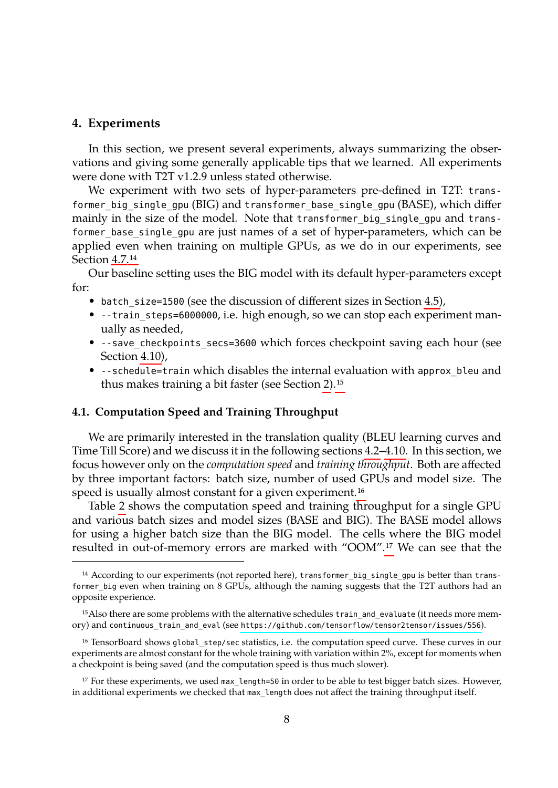### <span id="page-7-0"></span>**4. Experiments**

In this section, we present several experiments, always summarizing the observations and giving some generally applicable tips that we learned. All experiments were done with T2T v1.2.9 unless stated otherwise.

We experiment with two sets of hyper-parameters pre-defined in T2T: transformer big single gpu (BIG) and transformer base single gpu (BASE), which differ mainly in the size of the model. Note that transformer big single gpu and transformer base single qpu are just names of a set of hyper-parameters, which can be applied even when training on multiple GPUs, as we do in our experiments, see Section [4.7.](#page-18-0)[14](#page-7-2)

Our baseline setting uses the BIG model with its default hyper-parameters except for:

- batch size=1500 (see the discussion of different sizes in Section [4.5\)](#page-14-0),
- --train steps=6000000, i.e. high enough, so we can stop each experiment manually as needed,
- --save checkpoints secs=3600 which forces checkpoint saving each hour (see Section [4.10\)](#page-23-0),
- --schedule=train which disables the internal evaluation with approx\_bleu and thus makes training a bit faster (see Section [2\)](#page-1-2)[.15](#page-7-3)

### <span id="page-7-1"></span>**4.1. Computation Speed and Training Throughput**

We are primarily interested in the translation quality (BLEU learning curves and Time Till Score) and we discuss it in the following sections [4.2–](#page-9-0)[4.10.](#page-23-0) In this section, we focus however only on the *computation speed* and *training throughput*. Both are affected by three important factors: batch size, number of used GPUs and model size. The speed is usually almost constant for a given experiment.<sup>16</sup>

Table [2](#page-8-0) shows the computation speed and training throughput for a single GPU and various batch sizes and model sizes (BASE and BIG). The BASE model allows for using a higher batch size than the BIG model. The cells where the BIG model resulted in out-of-memory errors are marked with "OOM"[.17](#page-7-5) We can see that the

<span id="page-7-2"></span><sup>&</sup>lt;sup>14</sup> According to our experiments (not reported here), transformer big single gpu is better than transformer\_big even when training on 8 GPUs, although the naming suggests that the T2T authors had an opposite experience.

<span id="page-7-3"></span><sup>&</sup>lt;sup>15</sup>Also there are some problems with the alternative schedules train and evaluate (it needs more memory) and continuous\_train\_and\_eval (see <https://github.com/tensorflow/tensor2tensor/issues/556>).

<span id="page-7-4"></span><sup>&</sup>lt;sup>16</sup> TensorBoard shows global\_step/sec statistics, i.e. the computation speed curve. These curves in our experiments are almost constant for the whole training with variation within 2%, except for moments when a checkpoint is being saved (and the computation speed is thus much slower).

<span id="page-7-5"></span><sup>&</sup>lt;sup>17</sup> For these experiments, we used max\_length=50 in order to be able to test bigger batch sizes. However, in additional experiments we checked that max length does not affect the training throughput itself.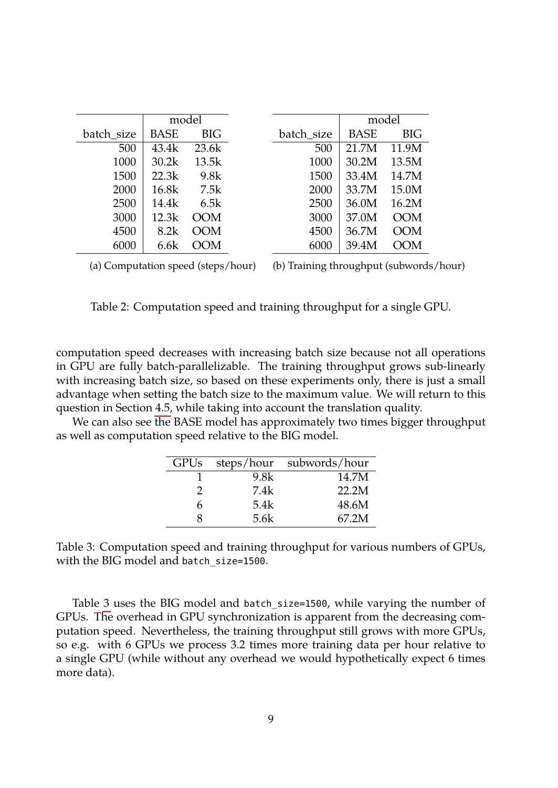<span id="page-8-0"></span>

|            | model |       |            |             | model      |
|------------|-------|-------|------------|-------------|------------|
| batch_size | BASE  | BIG   | batch_size | <b>BASE</b> | BIG        |
| 500        | 43.4k | 23.6k | 500        | 21.7M       | 11.9M      |
| 1000       | 30.2k | 13.5k | 1000       | 30.2M       | 13.5M      |
| 1500       | 22.3k | 9.8k  | 1500       | 33.4M       | 14.7M      |
| 2000       | 16.8k | 7.5k  | 2000       | 33.7M       | 15.0M      |
| 2500       | 14.4k | 6.5k  | 2500       | 36.0M       | 16.2M      |
| 3000       | 12.3k | ООМ   | 3000       | 37.0M       | <b>OOM</b> |
| 4500       | 8.2k  | OOM   | 4500       | 36.7M       | OOM        |
| 6000       | 6.6k  | ООМ   | 6000       | 39.4M       | ООМ        |
|            |       |       |            |             |            |

(a) Computation speed (steps/hour)

(b) Training throughput (subwords/hour)

| Table 2: Computation speed and training throughput for a single GPU. |  |  |  |
|----------------------------------------------------------------------|--|--|--|
|                                                                      |  |  |  |

computation speed decreases with increasing batch size because not all operations in GPU are fully batch-parallelizable. The training throughput grows sub-linearly with increasing batch size, so based on these experiments only, there is just a small advantage when setting the batch size to the maximum value. We will return to this question in Section [4.5,](#page-14-0) while taking into account the translation quality.

<span id="page-8-1"></span>We can also see the BASE model has approximately two times bigger throughput as well as computation speed relative to the BIG model.

| GPUs          |      | steps/hour subwords/hour |
|---------------|------|--------------------------|
|               | 9.8k | 14.7M                    |
| $\mathcal{D}$ | 7.4k | 22.2M                    |
| h             | 5.4k | 48.6M                    |
|               | 5.6k | 67.2M                    |

Table 3: Computation speed and training throughput for various numbers of GPUs, with the BIG model and batch\_size=1500.

Table [3](#page-8-1) uses the BIG model and batch\_size=1500, while varying the number of GPUs. The overhead in GPU synchronization is apparent from the decreasing computation speed. Nevertheless, the training throughput still grows with more GPUs, so e.g. with 6 GPUs we process 3.2 times more training data per hour relative to a single GPU (while without any overhead we would hypothetically expect 6 times more data).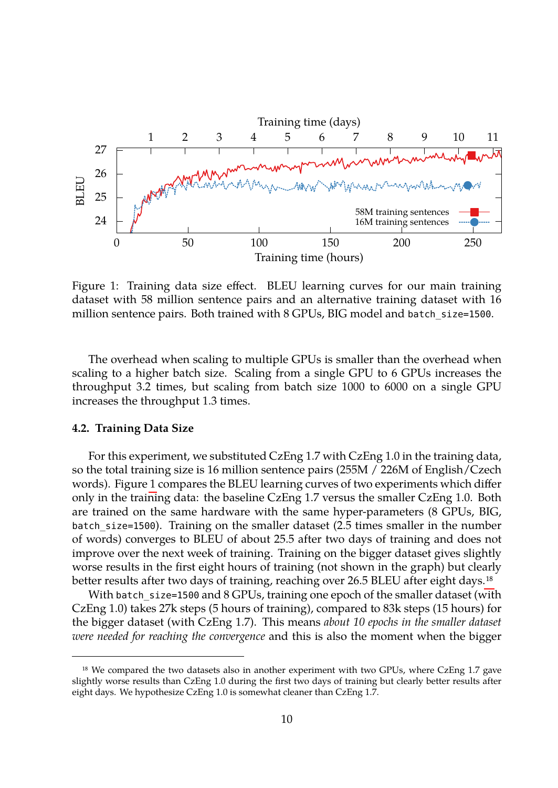<span id="page-9-1"></span>

Figure 1: Training data size effect. BLEU learning curves for our main training dataset with 58 million sentence pairs and an alternative training dataset with 16 million sentence pairs. Both trained with 8 GPUs, BIG model and batch size=1500.

The overhead when scaling to multiple GPUs is smaller than the overhead when scaling to a higher batch size. Scaling from a single GPU to 6 GPUs increases the throughput 3.2 times, but scaling from batch size 1000 to 6000 on a single GPU increases the throughput 1.3 times.

### <span id="page-9-0"></span>**4.2. Training Data Size**

For this experiment, we substituted CzEng 1.7 with CzEng 1.0 in the training data, so the total training size is 16 million sentence pairs (255M / 226M of English/Czech words). Figure [1](#page-9-1) compares the BLEU learning curves of two experiments which differ only in the training data: the baseline CzEng 1.7 versus the smaller CzEng 1.0. Both are trained on the same hardware with the same hyper-parameters (8 GPUs, BIG, batch size=1500). Training on the smaller dataset (2.5 times smaller in the number of words) converges to BLEU of about 25.5 after two days of training and does not improve over the next week of training. Training on the bigger dataset gives slightly worse results in the first eight hours of training (not shown in the graph) but clearly better results after two days of training, reaching over 26.5 BLEU after eight days[.18](#page-9-2)

With batch\_size=1500 and 8 GPUs, training one epoch of the smaller dataset (with CzEng 1.0) takes 27k steps (5 hours of training), compared to 83k steps (15 hours) for the bigger dataset (with CzEng 1.7). This means *about 10 epochs in the smaller dataset were needed for reaching the convergence* and this is also the moment when the bigger

<span id="page-9-2"></span><sup>&</sup>lt;sup>18</sup> We compared the two datasets also in another experiment with two GPUs, where CzEng 1.7 gave slightly worse results than CzEng 1.0 during the first two days of training but clearly better results after eight days. We hypothesize CzEng 1.0 is somewhat cleaner than CzEng 1.7.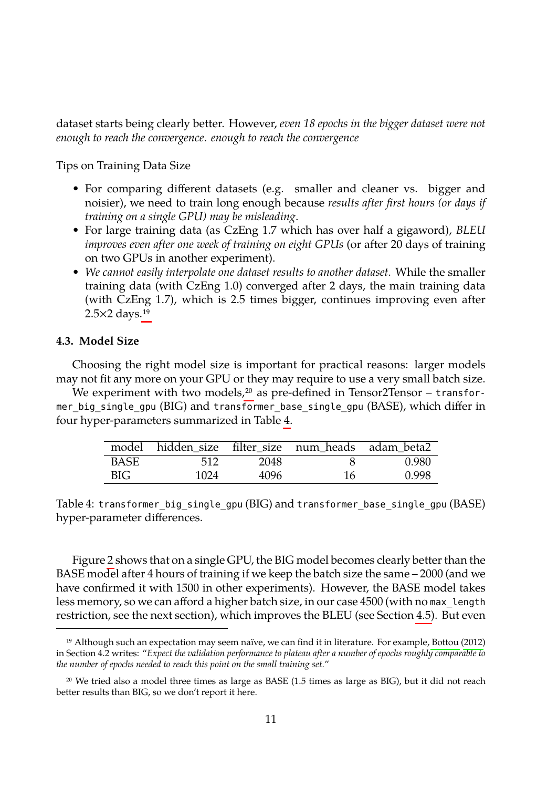dataset starts being clearly better. However, *even 18 epochs in the bigger dataset were not enough to reach the convergence*. *enough to reach the convergence*

Tips on Training Data Size

- For comparing different datasets (e.g. smaller and cleaner vs. bigger and noisier), we need to train long enough because *results after first hours (or days if training on a single GPU) may be misleading*.
- For large training data (as CzEng 1.7 which has over half a gigaword), *BLEU improves even after one week of training on eight GPUs* (or after 20 days of training on two GPUs in another experiment).
- *We cannot easily interpolate one dataset results to another dataset.* While the smaller training data (with CzEng 1.0) converged after 2 days, the main training data (with CzEng 1.7), which is 2.5 times bigger, continues improving even after 2.5×2 days[.19](#page-10-0)

# **4.3. Model Size**

Choosing the right model size is important for practical reasons: larger models may not fit any more on your GPU or they may require to use a very small batch size.

<span id="page-10-2"></span>We experiment with two models, $20$  as pre-defined in Tensor2Tensor – transformer big single gpu (BIG) and transformer base single gpu (BASE), which differ in four hyper-parameters summarized in Table [4.](#page-10-2)

|             | model hidden size filter size num heads adam beta2 |      |    |       |
|-------------|----------------------------------------------------|------|----|-------|
| <b>BASE</b> | 512                                                | 2048 |    | 0.980 |
| BIG.        | 1024                                               | 4096 | 16 | 0.998 |

Table 4: transformer big single gpu (BIG) and transformer base single gpu (BASE) hyper-parameter differences.

Figure [2](#page-11-0) shows that on a single GPU, the BIG model becomes clearly better than the BASE model after 4 hours of training if we keep the batch size the same – 2000 (and we have confirmed it with 1500 in other experiments). However, the BASE model takes less memory, so we can afford a higher batch size, in our case 4500 (with no max\_length restriction, see the next section), which improves the BLEU (see Section [4.5\)](#page-14-0). But even

<span id="page-10-0"></span><sup>&</sup>lt;sup>19</sup> Although such an expectation may seem naïve, we can find it in literature. For example, [Bottou](#page-26-5) [\(2012\)](#page-26-5) in Section 4.2 writes: "*Expect the validation performance to plateau after a number of epochs roughly comparable to the number of epochs needed to reach this point on the small training set.*"

<span id="page-10-1"></span><sup>20</sup> We tried also a model three times as large as BASE (1.5 times as large as BIG), but it did not reach better results than BIG, so we don't report it here.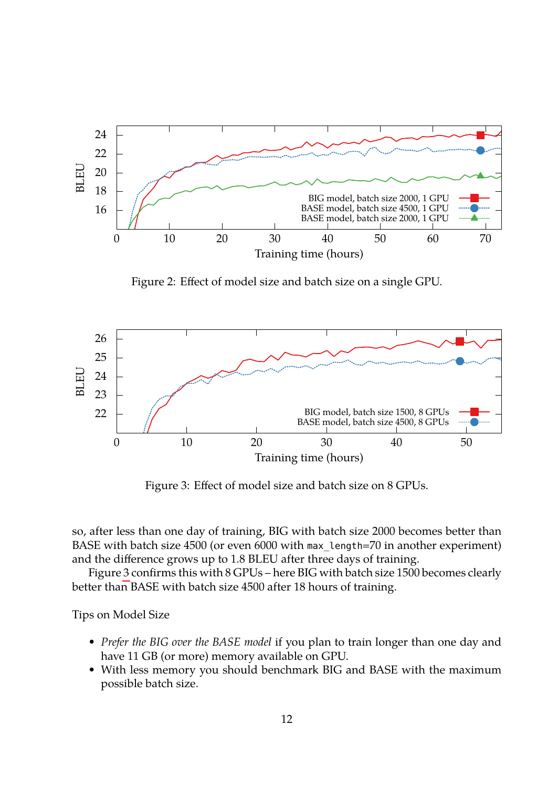<span id="page-11-0"></span>

Figure 2: Effect of model size and batch size on a single GPU.

<span id="page-11-1"></span>

Figure 3: Effect of model size and batch size on 8 GPUs.

so, after less than one day of training, BIG with batch size 2000 becomes better than BASE with batch size 4500 (or even 6000 with max\_length=70 in another experiment) and the difference grows up to 1.8 BLEU after three days of training.

Figure [3](#page-11-1) confirms this with 8 GPUs – here BIG with batch size 1500 becomes clearly better than BASE with batch size 4500 after 18 hours of training.

Tips on Model Size

- *Prefer the BIG over the BASE model* if you plan to train longer than one day and have 11 GB (or more) memory available on GPU.
- With less memory you should benchmark BIG and BASE with the maximum possible batch size.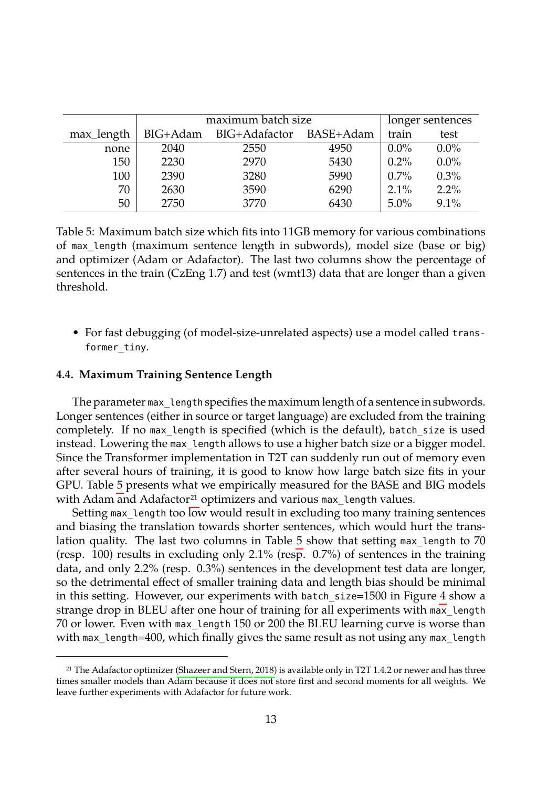<span id="page-12-1"></span>

|            | maximum batch size                     |      | longer sentences |         |         |
|------------|----------------------------------------|------|------------------|---------|---------|
| max_length | BASE+Adam<br>BIG+Adafactor<br>BIG+Adam |      |                  |         | test    |
| none       | 2040                                   | 2550 | 4950             | $0.0\%$ | $0.0\%$ |
| 150        | 2230                                   | 2970 | 5430             | $0.2\%$ | $0.0\%$ |
| 100        | 2390                                   | 3280 | 5990             | $0.7\%$ | $0.3\%$ |
| 70         | 2630                                   | 3590 | 6290             | $2.1\%$ | $2.2\%$ |
| 50         | 2750                                   | 3770 | 6430             | $5.0\%$ | $9.1\%$ |

Table 5: Maximum batch size which fits into 11GB memory for various combinations of max\_length (maximum sentence length in subwords), model size (base or big) and optimizer (Adam or Adafactor). The last two columns show the percentage of sentences in the train (CzEng 1.7) and test (wmt13) data that are longer than a given threshold.

• For fast debugging (of model-size-unrelated aspects) use a model called transformer tiny.

### <span id="page-12-0"></span>**4.4. Maximum Training Sentence Length**

The parameter max length specifies the maximum length of a sentence in subwords. Longer sentences (either in source or target language) are excluded from the training completely. If no max length is specified (which is the default), batch size is used instead. Lowering the max\_length allows to use a higher batch size or a bigger model. Since the Transformer implementation in T2T can suddenly run out of memory even after several hours of training, it is good to know how large batch size fits in your GPU. Table [5](#page-12-1) presents what we empirically measured for the BASE and BIG models with Adam and Adafactor<sup>21</sup> optimizers and various max length values.

Setting max length too low would result in excluding too many training sentences and biasing the translation towards shorter sentences, which would hurt the translation quality. The last two columns in Table [5](#page-12-1) show that setting max\_length to 70 (resp. 100) results in excluding only 2.1% (resp. 0.7%) of sentences in the training data, and only 2.2% (resp. 0.3%) sentences in the development test data are longer, so the detrimental effect of smaller training data and length bias should be minimal in this setting. However, our experiments with batch size=1500 in Figure [4](#page-13-0) show a strange drop in BLEU after one hour of training for all experiments with max\_length 70 or lower. Even with max\_length 150 or 200 the BLEU learning curve is worse than with max length=400, which finally gives the same result as not using any max length

<span id="page-12-2"></span><sup>21</sup> The Adafactor optimizer [\(Shazeer and Stern, 2018\)](#page-27-7) is available only in T2T 1.4.2 or newer and has three times smaller models than Adam because it does not store first and second moments for all weights. We leave further experiments with Adafactor for future work.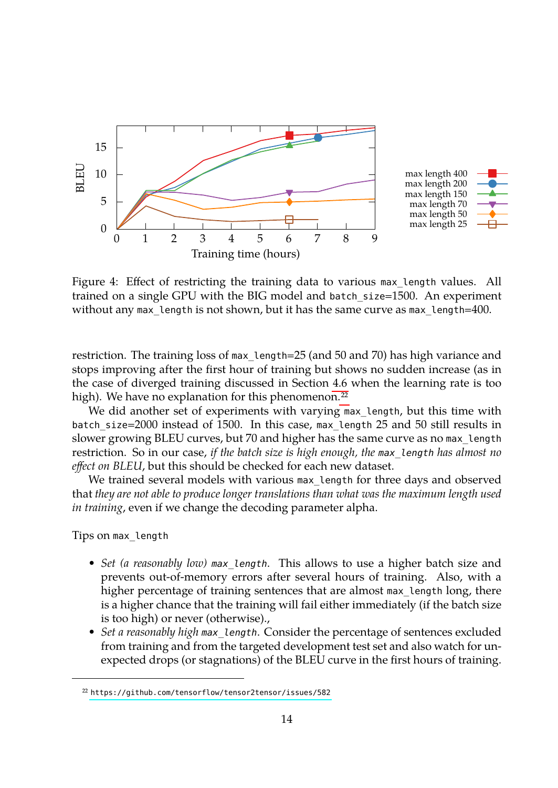<span id="page-13-0"></span>



Figure 4: Effect of restricting the training data to various max length values. All trained on a single GPU with the BIG model and batch size=1500. An experiment without any max length is not shown, but it has the same curve as max length=400.

restriction. The training loss of max\_length=25 (and 50 and 70) has high variance and stops improving after the first hour of training but shows no sudden increase (as in the case of diverged training discussed in Section [4.6](#page-16-0) when the learning rate is too high). We have no explanation for this phenomenon.<sup>22</sup>

We did another set of experiments with varying max\_length, but this time with batch size=2000 instead of 1500. In this case, max length 25 and 50 still results in slower growing BLEU curves, but 70 and higher has the same curve as no max\_length restriction. So in our case, *if the batch size is high enough, the* max\_length *has almost no effect on BLEU*, but this should be checked for each new dataset.

We trained several models with various max length for three days and observed that *they are not able to produce longer translations than what was the maximum length used in training*, even if we change the decoding parameter alpha.

Tips on max\_length

- *Set (a reasonably low)* max\_length. This allows to use a higher batch size and prevents out-of-memory errors after several hours of training. Also, with a higher percentage of training sentences that are almost max length long, there is a higher chance that the training will fail either immediately (if the batch size is too high) or never (otherwise).,
- *Set a reasonably high max* length. Consider the percentage of sentences excluded from training and from the targeted development test set and also watch for unexpected drops (or stagnations) of the BLEU curve in the first hours of training.

<span id="page-13-1"></span><sup>22</sup> <https://github.com/tensorflow/tensor2tensor/issues/582>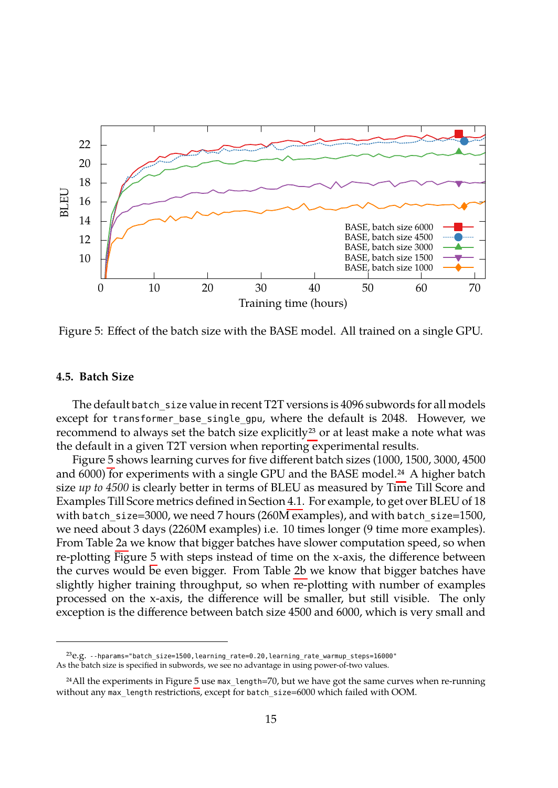<span id="page-14-2"></span>

Figure 5: Effect of the batch size with the BASE model. All trained on a single GPU.

### <span id="page-14-0"></span>**4.5. Batch Size**

The default batch size value in recent T2T versions is 4096 subwords for all models except for transformer base single qpu, where the default is 2048. However, we recommend to always set the batch size explicitly<sup>23</sup> or at least make a note what was the default in a given T2T version when reporting experimental results.

Figure [5](#page-14-2) shows learning curves for five different batch sizes (1000, 1500, 3000, 4500 and 6000) for experiments with a single GPU and the BASE model.<sup>24</sup> A higher batch size *up to 4500* is clearly better in terms of BLEU as measured by Time Till Score and Examples Till Score metrics defined in Section [4.1.](#page-7-1) For example, to get over BLEU of 18 with batch size=3000, we need 7 hours (260M examples), and with batch size=1500, we need about 3 days (2260M examples) i.e. 10 times longer (9 time more examples). From Table [2a](#page-8-0) we know that bigger batches have slower computation speed, so when re-plotting Figure [5](#page-14-2) with steps instead of time on the x-axis, the difference between the curves would be even bigger. From Table [2b](#page-8-0) we know that bigger batches have slightly higher training throughput, so when re-plotting with number of examples processed on the x-axis, the difference will be smaller, but still visible. The only exception is the difference between batch size 4500 and 6000, which is very small and

<span id="page-14-1"></span><sup>23</sup>e.g. --hparams="batch\_size=1500,learning\_rate=0.20,learning\_rate\_warmup\_steps=16000" As the batch size is specified in subwords, we see no advantage in using power-of-two values.

<span id="page-14-3"></span><sup>24</sup>All the experiments in Figure [5](#page-14-2) use max\_length=70, but we have got the same curves when re-running without any max length restrictions, except for batch size=6000 which failed with OOM.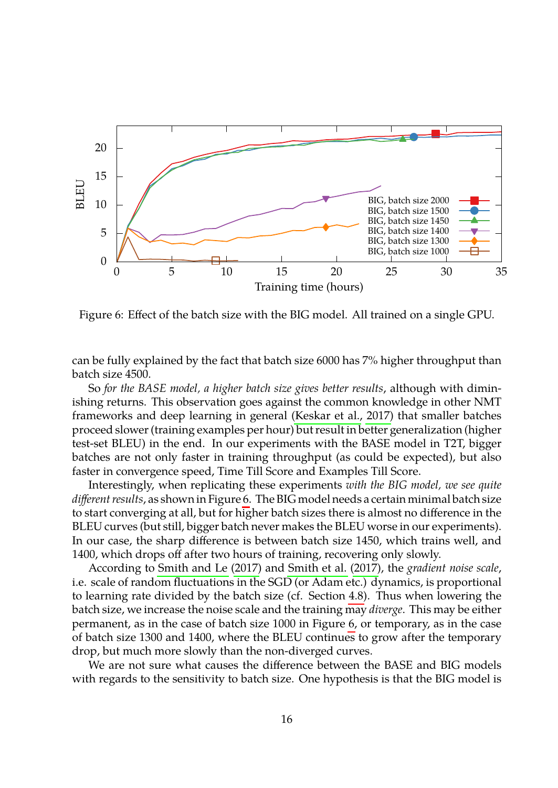<span id="page-15-0"></span>

Figure 6: Effect of the batch size with the BIG model. All trained on a single GPU.

can be fully explained by the fact that batch size 6000 has 7% higher throughput than batch size 4500.

So *for the BASE model, a higher batch size gives better results*, although with diminishing returns. This observation goes against the common knowledge in other NMT frameworks and deep learning in general [\(Keskar et al., 2017\)](#page-26-6) that smaller batches proceed slower (training examples per hour) but result in better generalization (higher test-set BLEU) in the end. In our experiments with the BASE model in T2T, bigger batches are not only faster in training throughput (as could be expected), but also faster in convergence speed, Time Till Score and Examples Till Score.

Interestingly, when replicating these experiments *with the BIG model, we see quite different results*, as shown in Figure [6.](#page-15-0) The BIG model needs a certain minimal batch size to start converging at all, but for higher batch sizes there is almost no difference in the BLEU curves (but still, bigger batch never makes the BLEU worse in our experiments). In our case, the sharp difference is between batch size 1450, which trains well, and 1400, which drops off after two hours of training, recovering only slowly.

According to [Smith and Le](#page-27-1) [\(2017\)](#page-27-1) and [Smith et al.](#page-27-8) [\(2017\)](#page-27-8), the *gradient noise scale*, i.e. scale of random fluctuations in the SGD (or Adam etc.) dynamics, is proportional to learning rate divided by the batch size (cf. Section [4.8\)](#page-20-0). Thus when lowering the batch size, we increase the noise scale and the training may *diverge*. This may be either permanent, as in the case of batch size 1000 in Figure [6,](#page-15-0) or temporary, as in the case of batch size 1300 and 1400, where the BLEU continues to grow after the temporary drop, but much more slowly than the non-diverged curves.

We are not sure what causes the difference between the BASE and BIG models with regards to the sensitivity to batch size. One hypothesis is that the BIG model is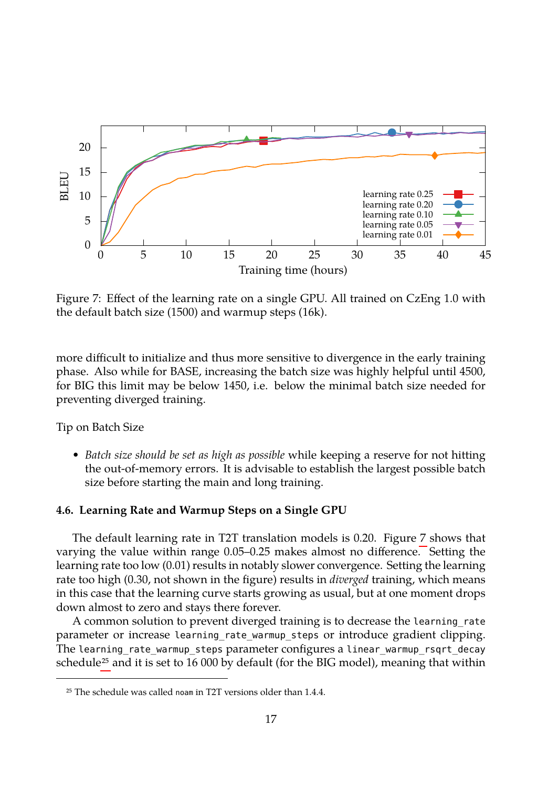<span id="page-16-1"></span>

Figure 7: Effect of the learning rate on a single GPU. All trained on CzEng 1.0 with the default batch size (1500) and warmup steps (16k).

more difficult to initialize and thus more sensitive to divergence in the early training phase. Also while for BASE, increasing the batch size was highly helpful until 4500, for BIG this limit may be below 1450, i.e. below the minimal batch size needed for preventing diverged training.

Tip on Batch Size

• *Batch size should be set as high as possible* while keeping a reserve for not hitting the out-of-memory errors. It is advisable to establish the largest possible batch size before starting the main and long training.

### <span id="page-16-0"></span>**4.6. Learning Rate and Warmup Steps on a Single GPU**

The default learning rate in T2T translation models is 0.20. Figure [7](#page-16-1) shows that varying the value within range 0.05–0.25 makes almost no difference. Setting the learning rate too low (0.01) results in notably slower convergence. Setting the learning rate too high (0.30, not shown in the figure) results in *diverged* training, which means in this case that the learning curve starts growing as usual, but at one moment drops down almost to zero and stays there forever.

A common solution to prevent diverged training is to decrease the learning\_rate parameter or increase learning rate warmup steps or introduce gradient clipping. The learning rate warmup steps parameter configures a linear warmup rsqrt decay schedule<sup>25</sup> and it is set to 16 000 by default (for the BIG model), meaning that within

<span id="page-16-2"></span><sup>25</sup> The schedule was called noam in T2T versions older than 1.4.4.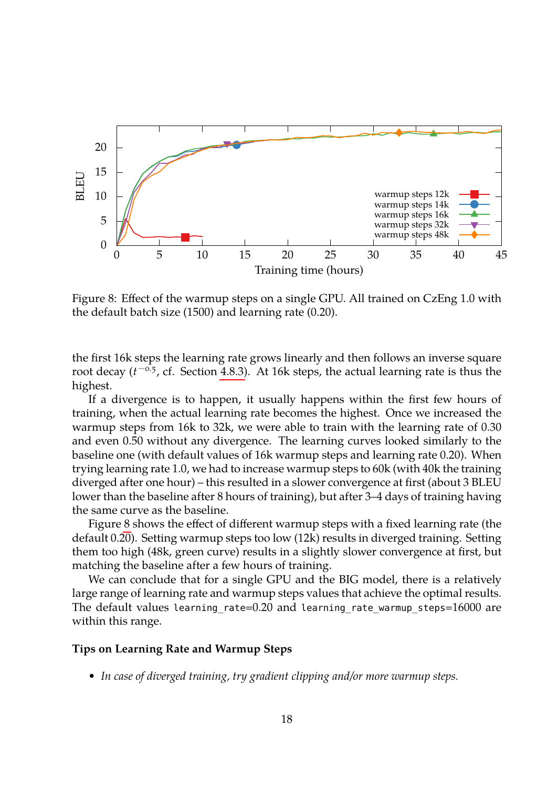<span id="page-17-0"></span>

Figure 8: Effect of the warmup steps on a single GPU. All trained on CzEng 1.0 with the default batch size (1500) and learning rate (0.20).

the first 16k steps the learning rate grows linearly and then follows an inverse square root decay (*t*<sup>-o.5</sup>, cf. Section [4.8.3\)](#page-21-0). At 16k steps, the actual learning rate is thus the highest.

If a divergence is to happen, it usually happens within the first few hours of training, when the actual learning rate becomes the highest. Once we increased the warmup steps from 16k to 32k, we were able to train with the learning rate of 0.30 and even 0.50 without any divergence. The learning curves looked similarly to the baseline one (with default values of 16k warmup steps and learning rate 0.20). When trying learning rate 1.0, we had to increase warmup steps to 60k (with 40k the training diverged after one hour) – this resulted in a slower convergence at first (about 3 BLEU lower than the baseline after 8 hours of training), but after 3–4 days of training having the same curve as the baseline.

Figure [8](#page-17-0) shows the effect of different warmup steps with a fixed learning rate (the default 0.20). Setting warmup steps too low (12k) results in diverged training. Setting them too high (48k, green curve) results in a slightly slower convergence at first, but matching the baseline after a few hours of training.

We can conclude that for a single GPU and the BIG model, there is a relatively large range of learning rate and warmup steps values that achieve the optimal results. The default values learning\_rate=0.20 and learning\_rate\_warmup\_steps=16000 are within this range.

#### **Tips on Learning Rate and Warmup Steps**

• *In case of diverged training, try gradient clipping and/or more warmup steps.*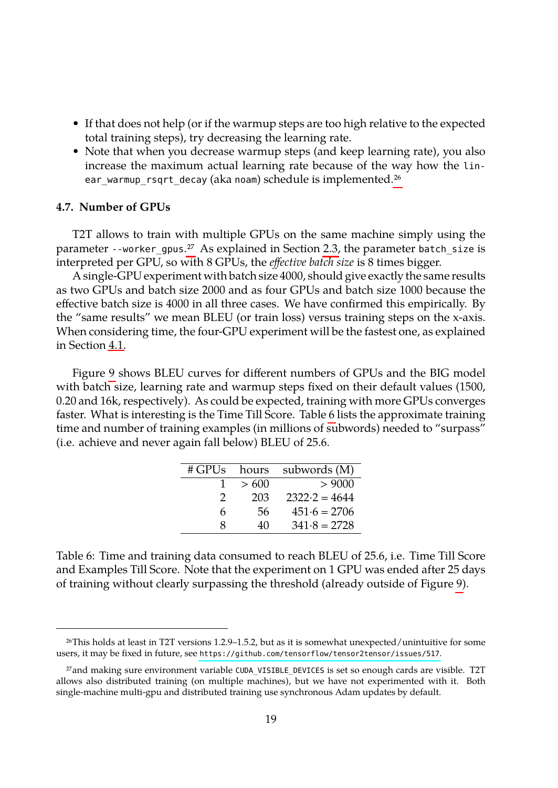- If that does not help (or if the warmup steps are too high relative to the expected total training steps), try decreasing the learning rate.
- Note that when you decrease warmup steps (and keep learning rate), you also increase the maximum actual learning rate because of the way how the linear warmup rsqrt decay (aka noam) schedule is implemented.<sup>26</sup>

### <span id="page-18-0"></span>**4.7. Number of GPUs**

T2T allows to train with multiple GPUs on the same machine simply using the parameter --worker gpus.<sup>27</sup> As explained in Section [2.3,](#page-3-2) the parameter batch\_size is interpreted per GPU, so with 8 GPUs, the *effective batch size* is 8 times bigger.

A single-GPU experiment with batch size 4000, should give exactly the same results as two GPUs and batch size 2000 and as four GPUs and batch size 1000 because the effective batch size is 4000 in all three cases. We have confirmed this empirically. By the "same results" we mean BLEU (or train loss) versus training steps on the x-axis. When considering time, the four-GPU experiment will be the fastest one, as explained in Section [4.1.](#page-7-1)

<span id="page-18-3"></span>Figure [9](#page-19-0) shows BLEU curves for different numbers of GPUs and the BIG model with batch size, learning rate and warmup steps fixed on their default values (1500, 0.20 and 16k, respectively). As could be expected, training with more GPUs converges faster. What is interesting is the Time Till Score. Table [6](#page-18-3) lists the approximate training time and number of training examples (in millions of subwords) needed to "surpass" (i.e. achieve and never again fall below) BLEU of 25.6.

| # $GPUs$ | hours | subwords (M)          |
|----------|-------|-----------------------|
|          | >600  | >9000                 |
| 2        | 203   | $2322 \cdot 2 = 4644$ |
| 6        | 56    | $451.6 = 2706$        |
| 8        | 40    | $341.8 = 2728$        |

Table 6: Time and training data consumed to reach BLEU of 25.6, i.e. Time Till Score and Examples Till Score. Note that the experiment on 1 GPU was ended after 25 days of training without clearly surpassing the threshold (already outside of Figure [9\)](#page-19-0).

<span id="page-18-1"></span><sup>26</sup>This holds at least in T2T versions 1.2.9–1.5.2, but as it is somewhat unexpected/unintuitive for some users, it may be fixed in future, see <https://github.com/tensorflow/tensor2tensor/issues/517>.

<span id="page-18-2"></span><sup>27</sup>and making sure environment variable CUDA\_VISIBLE\_DEVICES is set so enough cards are visible. T2T allows also distributed training (on multiple machines), but we have not experimented with it. Both single-machine multi-gpu and distributed training use synchronous Adam updates by default.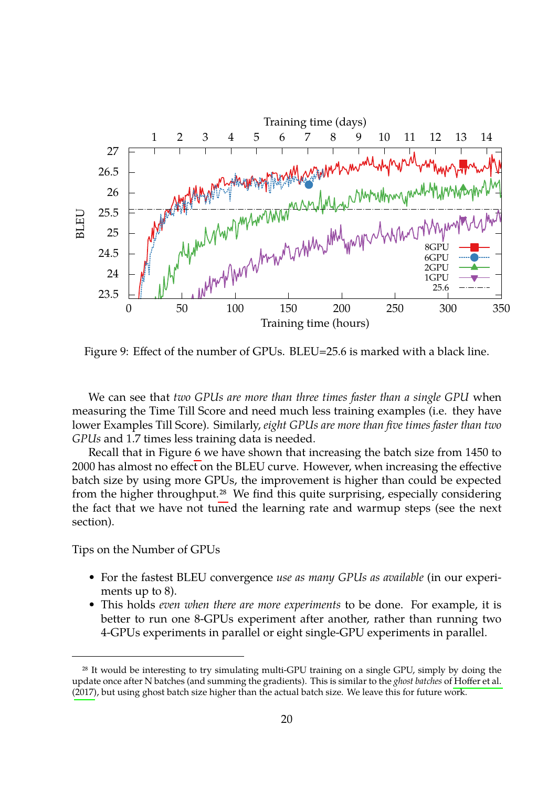<span id="page-19-0"></span>

Figure 9: Effect of the number of GPUs. BLEU=25.6 is marked with a black line.

We can see that *two GPUs are more than three times faster than a single GPU* when measuring the Time Till Score and need much less training examples (i.e. they have lower Examples Till Score). Similarly, *eight GPUs are more than five times faster than two GPUs* and 1.7 times less training data is needed.

Recall that in Figure [6](#page-15-0) we have shown that increasing the batch size from 1450 to 2000 has almost no effect on the BLEU curve. However, when increasing the effective batch size by using more GPUs, the improvement is higher than could be expected from the higher throughput.<sup>28</sup> We find this quite surprising, especially considering the fact that we have not tuned the learning rate and warmup steps (see the next section).

Tips on the Number of GPUs

- For the fastest BLEU convergence *use as many GPUs as available* (in our experiments up to 8).
- This holds *even when there are more experiments* to be done. For example, it is better to run one 8-GPUs experiment after another, rather than running two 4-GPUs experiments in parallel or eight single-GPU experiments in parallel.

<span id="page-19-1"></span><sup>28</sup> It would be interesting to try simulating multi-GPU training on a single GPU, simply by doing the update once after N batches (and summing the gradients). This is similar to the *ghost batches* of [Hoffer et al.](#page-26-7) [\(2017\)](#page-26-7), but using ghost batch size higher than the actual batch size. We leave this for future work.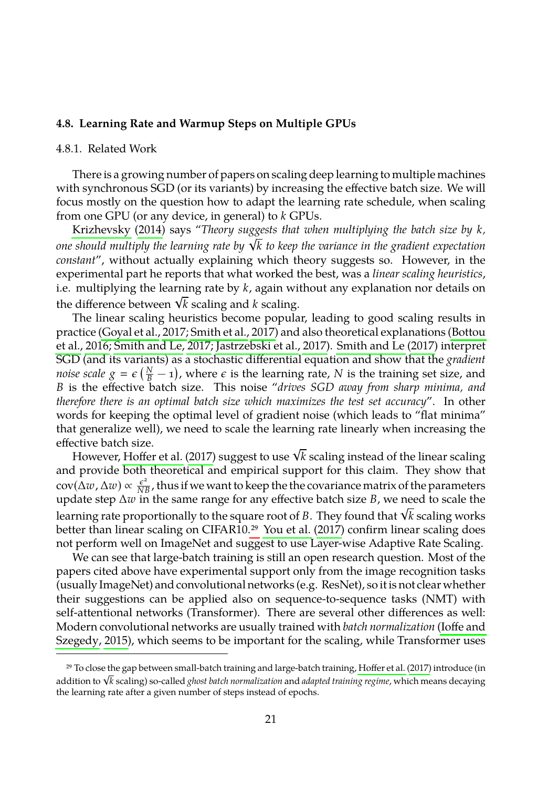### <span id="page-20-0"></span>**4.8. Learning Rate and Warmup Steps on Multiple GPUs**

### 4.8.1. Related Work

There is a growing number of papers on scaling deep learning to multiple machines with synchronous SGD (or its variants) by increasing the effective batch size. We will focus mostly on the question how to adapt the learning rate schedule, when scaling from one GPU (or any device, in general) to *k* GPUs.

[Krizhevsky](#page-26-8) [\(2014\)](#page-26-8) says "*Theory suggests that when multiplying the batch size by k, one should multiply the learning rate by* <sup>√</sup> *k to keep the variance in the gradient expectation constant*", without actually explaining which theory suggests so. However, in the experimental part he reports that what worked the best, was a *linear scaling heuristics*, i.e. multiplying the learning rate by *k*, again without any explanation nor details on *i.e.* multiplying the learning rate by *κ*, again wi<br>the difference between √k scaling and *k* scaling.

The linear scaling heuristics become popular, leading to good scaling results in practice [\(Goyal et al., 2017;](#page-26-9) [Smith et al., 2017\)](#page-27-8) and also theoretical explanations [\(Bottou](#page-26-2) [et al., 2016;](#page-26-2) [Smith and Le, 2017;](#page-27-1) [Jastrzebski et al., 2017\)](#page-26-3). [Smith and Le](#page-27-1) [\(2017\)](#page-27-1) interpret SGD (and its variants) as a stochastic differential equation and show that the *gradient noise scale*  $g = \epsilon \left(\frac{N}{B} - 1\right)$ , where  $\epsilon$  is the learning rate, *N* is the training set size, and *B* is the effective batch size. This noise "*drives SGD away from sharp minima, and therefore there is an optimal batch size which maximizes the test set accuracy*". In other words for keeping the optimal level of gradient noise (which leads to "flat minima" that generalize well), we need to scale the learning rate linearly when increasing the effective batch size.

<sup>ective</sup> batch size.<br>However, [Hoffer et al.](#page-26-7) [\(2017\)](#page-26-7) suggest to use √k scaling instead of the linear scaling and provide both theoretical and empirical support for this claim. They show that  $cov(\Delta w, \Delta w) \propto \frac{\epsilon^2}{NB}$ , thus if we want to keep the the covariance matrix of the parameters update step ∆*w* in the same range for any effective batch size *B*, we need to scale the update step ∆w in the same range for any effective batch size *B*, we heed to scale the<br>learning rate proportionally to the square root of *B*. They found that √k scaling works better than linear scaling on CIFAR10.<sup>29</sup> [You et al.](#page-27-9) [\(2017\)](#page-27-9) confirm linear scaling does not perform well on ImageNet and suggest to use Layer-wise Adaptive Rate Scaling.

We can see that large-batch training is still an open research question. Most of the papers cited above have experimental support only from the image recognition tasks (usually ImageNet) and convolutional networks (e.g. ResNet), so it is not clear whether their suggestions can be applied also on sequence-to-sequence tasks (NMT) with self-attentional networks (Transformer). There are several other differences as well: Modern convolutional networks are usually trained with *batch normalization* [\(Ioffe and](#page-26-10) [Szegedy, 2015\)](#page-26-10), which seems to be important for the scaling, while Transformer uses

<span id="page-20-1"></span><sup>29</sup> To close the gap between small-batch training and large-batch training, [Hoffer et al.](#page-26-7) [\(2017\)](#page-26-7) introduce (in addition to <sup>√</sup> *k* scaling) so-called *ghost batch normalization* and *adapted training regime*, which means decaying the learning rate after a given number of steps instead of epochs.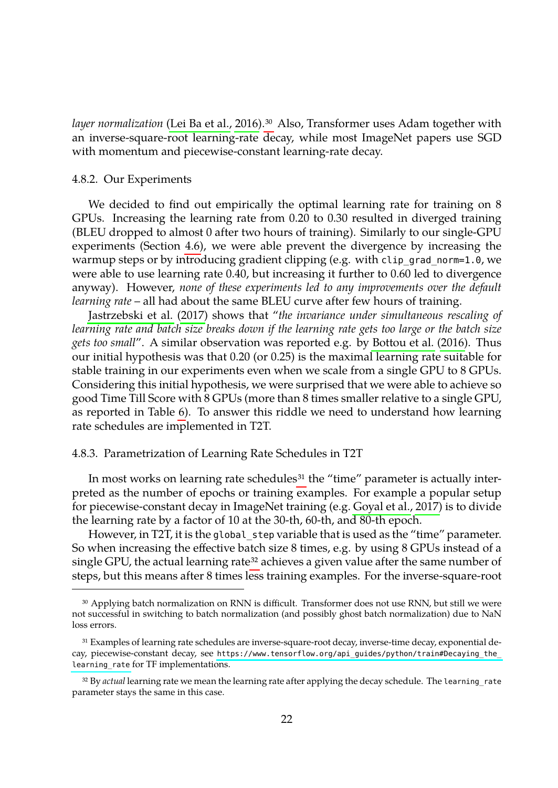*layer normalization* [\(Lei Ba et al., 2016\)](#page-27-10)[.30](#page-21-1) Also, Transformer uses Adam together with an inverse-square-root learning-rate decay, while most ImageNet papers use SGD with momentum and piecewise-constant learning-rate decay.

#### 4.8.2. Our Experiments

We decided to find out empirically the optimal learning rate for training on 8 GPUs. Increasing the learning rate from 0.20 to 0.30 resulted in diverged training (BLEU dropped to almost 0 after two hours of training). Similarly to our single-GPU experiments (Section [4.6\)](#page-16-0), we were able prevent the divergence by increasing the warmup steps or by introducing gradient clipping (e.g. with clip grad norm=1.0, we were able to use learning rate 0.40, but increasing it further to 0.60 led to divergence anyway). However, *none of these experiments led to any improvements over the default learning rate* – all had about the same BLEU curve after few hours of training.

[Jastrzebski et al.](#page-26-3) [\(2017\)](#page-26-3) shows that "*the invariance under simultaneous rescaling of learning rate and batch size breaks down if the learning rate gets too large or the batch size gets too small*". A similar observation was reported e.g. by [Bottou et al.](#page-26-2) [\(2016\)](#page-26-2). Thus our initial hypothesis was that 0.20 (or 0.25) is the maximal learning rate suitable for stable training in our experiments even when we scale from a single GPU to 8 GPUs. Considering this initial hypothesis, we were surprised that we were able to achieve so good Time Till Score with 8 GPUs (more than 8 times smaller relative to a single GPU, as reported in Table [6\)](#page-18-3). To answer this riddle we need to understand how learning rate schedules are implemented in T2T.

### <span id="page-21-0"></span>4.8.3. Parametrization of Learning Rate Schedules in T2T

In most works on learning rate schedules $31$  the "time" parameter is actually interpreted as the number of epochs or training examples. For example a popular setup for piecewise-constant decay in ImageNet training (e.g. [Goyal et al., 2017\)](#page-26-9) is to divide the learning rate by a factor of 10 at the 30-th, 60-th, and 80-th epoch.

However, in T2T, it is the global step variable that is used as the "time" parameter. So when increasing the effective batch size 8 times, e.g. by using 8 GPUs instead of a single GPU, the actual learning rate<sup>32</sup> achieves a given value after the same number of steps, but this means after 8 times less training examples. For the inverse-square-root

<span id="page-21-1"></span><sup>30</sup> Applying batch normalization on RNN is difficult. Transformer does not use RNN, but still we were not successful in switching to batch normalization (and possibly ghost batch normalization) due to NaN loss errors.

<span id="page-21-2"></span><sup>&</sup>lt;sup>31</sup> Examples of learning rate schedules are inverse-square-root decay, inverse-time decay, exponential decay, piecewise-constant decay, see https://www.tensorflow.org/api\_guides/python/train#Decaying\_the [learning\\_rate](https://www.tensorflow.org/api_guides/python/train#Decaying_the_learning_rate) for TF implementations.

<span id="page-21-3"></span><sup>32</sup> By *actual* learning rate we mean the learning rate after applying the decay schedule. The learning\_rate parameter stays the same in this case.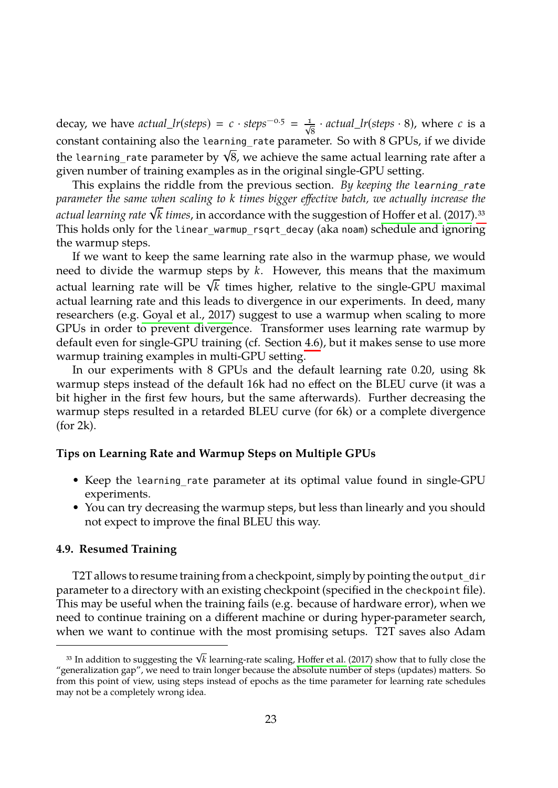decay, we have *actual\_lr*(*steps*) =  $c \cdot steps^{-0.5} = \frac{1}{\sqrt{6}}$  $\frac{1}{8}$  *cactual\_lr(steps · 8)*, where *c* is a constant containing also the learning\_rate parameter. So with 8 GPUs, if we divide constant containing also the tearning\_rate parameter. So with 8 GPUs, if we divide<br>the learning\_rate parameter by  $\sqrt{8}$ , we achieve the same actual learning rate after a given number of training examples as in the original single-GPU setting.

This explains the riddle from the previous section. *By keeping the* learning\_rate *parameter the same when scaling to k times bigger effective batch, we actually increase the actual learning rate* <sup>√</sup> *k times*, in accordance with the suggestion of [Hoffer et al.](#page-26-7) [\(2017\)](#page-26-7)[.33](#page-22-0) This holds only for the linear warmup rsqrt decay (aka noam) schedule and ignoring the warmup steps.

If we want to keep the same learning rate also in the warmup phase, we would need to divide the warmup steps by *k*. However, this means that the maximum need to divide the warmup steps by *k*. However, this means that the maximum<br>actual learning rate will be √k times higher, relative to the single-GPU maximal actual learning rate and this leads to divergence in our experiments. In deed, many researchers (e.g. [Goyal et al., 2017\)](#page-26-9) suggest to use a warmup when scaling to more GPUs in order to prevent divergence. Transformer uses learning rate warmup by default even for single-GPU training (cf. Section [4.6\)](#page-16-0), but it makes sense to use more warmup training examples in multi-GPU setting.

In our experiments with 8 GPUs and the default learning rate 0.20, using 8k warmup steps instead of the default 16k had no effect on the BLEU curve (it was a bit higher in the first few hours, but the same afterwards). Further decreasing the warmup steps resulted in a retarded BLEU curve (for 6k) or a complete divergence (for 2k).

# **Tips on Learning Rate and Warmup Steps on Multiple GPUs**

- Keep the learning\_rate parameter at its optimal value found in single-GPU experiments.
- You can try decreasing the warmup steps, but less than linearly and you should not expect to improve the final BLEU this way.

### <span id="page-22-1"></span>**4.9. Resumed Training**

T2T allows to resume training from a checkpoint, simply by pointing the output\_dir parameter to a directory with an existing checkpoint (specified in the checkpoint file). This may be useful when the training fails (e.g. because of hardware error), when we need to continue training on a different machine or during hyper-parameter search, when we want to continue with the most promising setups. T2T saves also Adam

<span id="page-22-0"></span><sup>33</sup> In addition to suggesting the <sup>√</sup> *k* learning-rate scaling, [Hoffer et al.](#page-26-7) [\(2017\)](#page-26-7) show that to fully close the "generalization gap", we need to train longer because the absolute number of steps (updates) matters. So from this point of view, using steps instead of epochs as the time parameter for learning rate schedules may not be a completely wrong idea.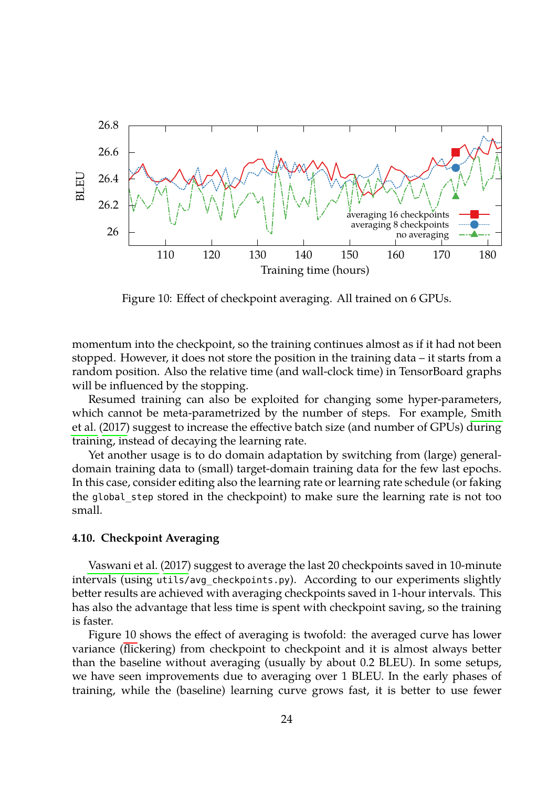<span id="page-23-1"></span>

Figure 10: Effect of checkpoint averaging. All trained on 6 GPUs.

momentum into the checkpoint, so the training continues almost as if it had not been stopped. However, it does not store the position in the training data – it starts from a random position. Also the relative time (and wall-clock time) in TensorBoard graphs will be influenced by the stopping.

Resumed training can also be exploited for changing some hyper-parameters, which cannot be meta-parametrized by the number of steps. For example, [Smith](#page-27-8) [et al.](#page-27-8) [\(2017\)](#page-27-8) suggest to increase the effective batch size (and number of GPUs) during training, instead of decaying the learning rate.

Yet another usage is to do domain adaptation by switching from (large) generaldomain training data to (small) target-domain training data for the few last epochs. In this case, consider editing also the learning rate or learning rate schedule (or faking the global\_step stored in the checkpoint) to make sure the learning rate is not too small.

### <span id="page-23-0"></span>**4.10. Checkpoint Averaging**

[Vaswani et al.](#page-27-0) [\(2017\)](#page-27-0) suggest to average the last 20 checkpoints saved in 10-minute intervals (using utils/avg\_checkpoints.py). According to our experiments slightly better results are achieved with averaging checkpoints saved in 1-hour intervals. This has also the advantage that less time is spent with checkpoint saving, so the training is faster.

Figure [10](#page-23-1) shows the effect of averaging is twofold: the averaged curve has lower variance (flickering) from checkpoint to checkpoint and it is almost always better than the baseline without averaging (usually by about 0.2 BLEU). In some setups, we have seen improvements due to averaging over 1 BLEU. In the early phases of training, while the (baseline) learning curve grows fast, it is better to use fewer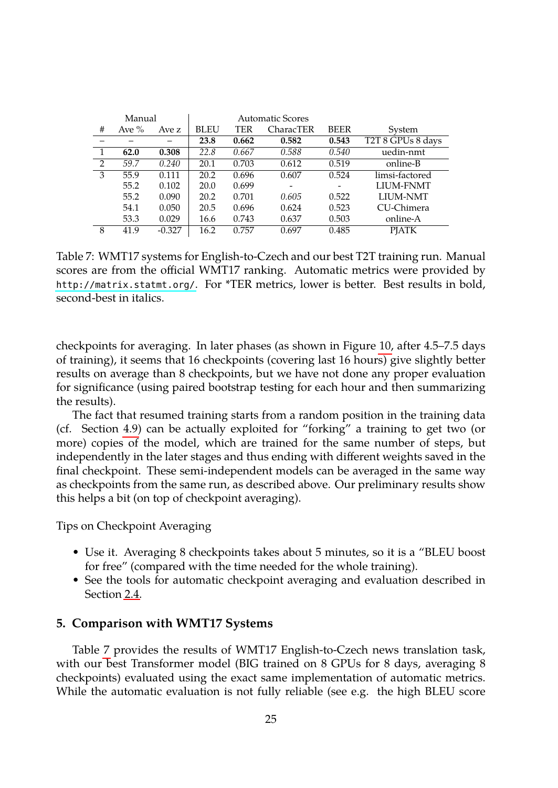<span id="page-24-1"></span>

| Manual         |         |          |             |       | <b>Automatic Scores</b> |             |                   |
|----------------|---------|----------|-------------|-------|-------------------------|-------------|-------------------|
| #              | Ave $%$ | Ave z    | <b>BLEU</b> | TER   | <b>CharacTER</b>        | <b>BEER</b> | System            |
|                |         |          | 23.8        | 0.662 | 0.582                   | 0.543       | T2T 8 GPUs 8 days |
|                | 62.0    | 0.308    | 22.8        | 0.667 | 0.588                   | 0.540       | uedin-nmt         |
| $\overline{2}$ | 59.7    | 0.240    | 20.1        | 0.703 | 0.612                   | 0.519       | online-B          |
| 3              | 55.9    | 0.111    | 20.2        | 0.696 | 0.607                   | 0.524       | limsi-factored    |
|                | 55.2    | 0.102    | 20.0        | 0.699 |                         |             | LIUM-FNMT         |
|                | 55.2    | 0.090    | 20.2        | 0.701 | 0.605                   | 0.522       | LIUM-NMT          |
|                | 54.1    | 0.050    | 20.5        | 0.696 | 0.624                   | 0.523       | CU-Chimera        |
|                | 53.3    | 0.029    | 16.6        | 0.743 | 0.637                   | 0.503       | online-A          |
| 8              | 41.9    | $-0.327$ | 16.2        | 0.757 | 0.697                   | 0.485       | <b>PIATK</b>      |

Table 7: WMT17 systems for English-to-Czech and our best T2T training run. Manual scores are from the official WMT17 ranking. Automatic metrics were provided by <http://matrix.statmt.org/>. For \*TER metrics, lower is better. Best results in bold, second-best in italics.

checkpoints for averaging. In later phases (as shown in Figure [10,](#page-23-1) after 4.5–7.5 days of training), it seems that 16 checkpoints (covering last 16 hours) give slightly better results on average than 8 checkpoints, but we have not done any proper evaluation for significance (using paired bootstrap testing for each hour and then summarizing the results).

The fact that resumed training starts from a random position in the training data (cf. Section [4.9\)](#page-22-1) can be actually exploited for "forking" a training to get two (or more) copies of the model, which are trained for the same number of steps, but independently in the later stages and thus ending with different weights saved in the final checkpoint. These semi-independent models can be averaged in the same way as checkpoints from the same run, as described above. Our preliminary results show this helps a bit (on top of checkpoint averaging).

Tips on Checkpoint Averaging

- Use it. Averaging 8 checkpoints takes about 5 minutes, so it is a "BLEU boost for free" (compared with the time needed for the whole training).
- See the tools for automatic checkpoint averaging and evaluation described in Section [2.4.](#page-4-1)

# <span id="page-24-0"></span>**5. Comparison with WMT17 Systems**

Table [7](#page-24-1) provides the results of WMT17 English-to-Czech news translation task, with our best Transformer model (BIG trained on 8 GPUs for 8 days, averaging 8 checkpoints) evaluated using the exact same implementation of automatic metrics. While the automatic evaluation is not fully reliable (see e.g. the high BLEU score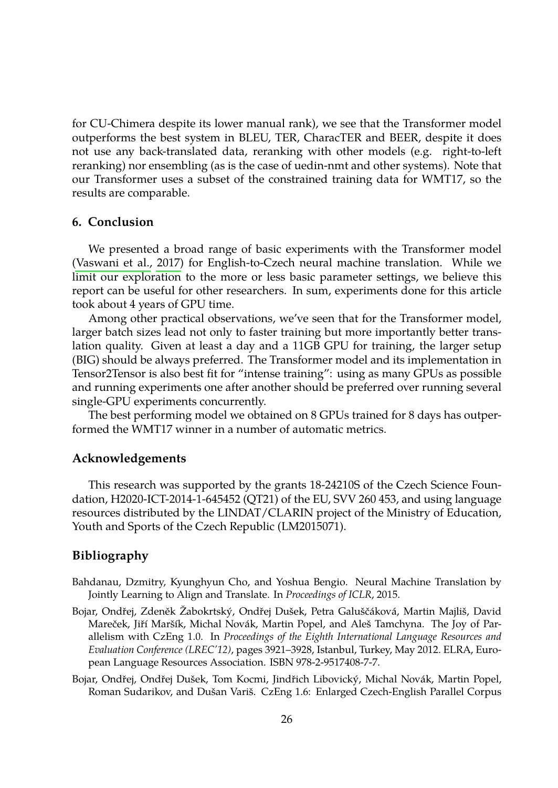for CU-Chimera despite its lower manual rank), we see that the Transformer model outperforms the best system in BLEU, TER, CharacTER and BEER, despite it does not use any back-translated data, reranking with other models (e.g. right-to-left reranking) nor ensembling (as is the case of uedin-nmt and other systems). Note that our Transformer uses a subset of the constrained training data for WMT17, so the results are comparable.

### <span id="page-25-0"></span>**6. Conclusion**

We presented a broad range of basic experiments with the Transformer model [\(Vaswani et al., 2017\)](#page-27-0) for English-to-Czech neural machine translation. While we limit our exploration to the more or less basic parameter settings, we believe this report can be useful for other researchers. In sum, experiments done for this article took about 4 years of GPU time.

Among other practical observations, we've seen that for the Transformer model, larger batch sizes lead not only to faster training but more importantly better translation quality. Given at least a day and a 11GB GPU for training, the larger setup (BIG) should be always preferred. The Transformer model and its implementation in Tensor2Tensor is also best fit for "intense training": using as many GPUs as possible and running experiments one after another should be preferred over running several single-GPU experiments concurrently.

The best performing model we obtained on 8 GPUs trained for 8 days has outperformed the WMT17 winner in a number of automatic metrics.

# **Acknowledgements**

This research was supported by the grants 18-24210S of the Czech Science Foundation, H2020-ICT-2014-1-645452 (QT21) of the EU, SVV 260 453, and using language resources distributed by the LINDAT/CLARIN project of the Ministry of Education, Youth and Sports of the Czech Republic (LM2015071).

# **Bibliography**

- <span id="page-25-1"></span>Bahdanau, Dzmitry, Kyunghyun Cho, and Yoshua Bengio. Neural Machine Translation by Jointly Learning to Align and Translate. In *Proceedings of ICLR*, 2015.
- <span id="page-25-2"></span>Bojar, Ondřej, Zdeněk Žabokrtský, Ondřej Dušek, Petra Galuščáková, Martin Majliš, David Mareček, Jiří Maršík, Michal Novák, Martin Popel, and Aleš Tamchyna. The Joy of Parallelism with CzEng 1.0. In *Proceedings of the Eighth International Language Resources and Evaluation Conference (LREC'12)*, pages 3921–3928, Istanbul, Turkey, May 2012. ELRA, European Language Resources Association. ISBN 978-2-9517408-7-7.
- <span id="page-25-3"></span>Bojar, Ondřej, Ondřej Dušek, Tom Kocmi, Jindřich Libovický, Michal Novák, Martin Popel, Roman Sudarikov, and Dušan Variš. CzEng 1.6: Enlarged Czech-English Parallel Corpus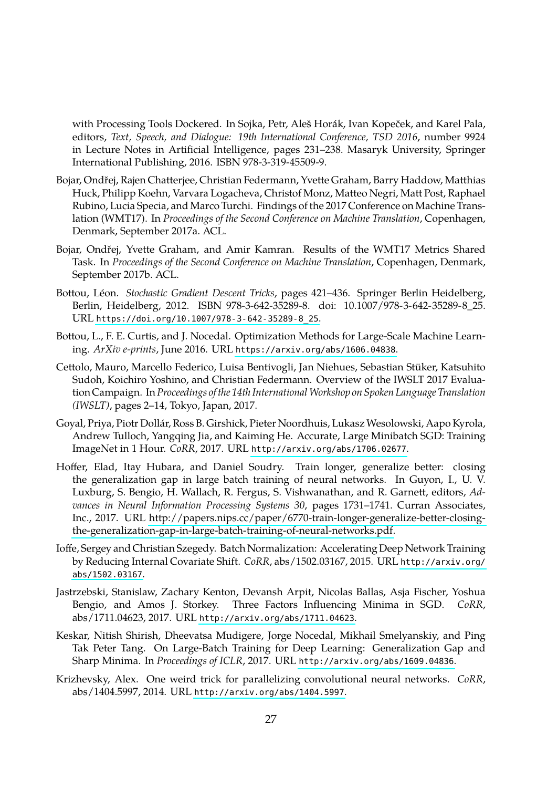with Processing Tools Dockered. In Sojka, Petr, Aleš Horák, Ivan Kopeček, and Karel Pala, editors, *Text, Speech, and Dialogue: 19th International Conference, TSD 2016*, number 9924 in Lecture Notes in Artificial Intelligence, pages 231–238. Masaryk University, Springer International Publishing, 2016. ISBN 978-3-319-45509-9.

- <span id="page-26-0"></span>Bojar, Ondřej, Rajen Chatterjee, Christian Federmann, Yvette Graham, Barry Haddow, Matthias Huck, Philipp Koehn, Varvara Logacheva, Christof Monz, Matteo Negri, Matt Post, Raphael Rubino, Lucia Specia, and Marco Turchi. Findings of the 2017 Conference on Machine Translation (WMT17). In *Proceedings of the Second Conference on Machine Translation*, Copenhagen, Denmark, September 2017a. ACL.
- <span id="page-26-4"></span>Bojar, Ondřej, Yvette Graham, and Amir Kamran. Results of the WMT17 Metrics Shared Task. In *Proceedings of the Second Conference on Machine Translation*, Copenhagen, Denmark, September 2017b. ACL.
- <span id="page-26-5"></span>Bottou, Léon. *Stochastic Gradient Descent Tricks*, pages 421–436. Springer Berlin Heidelberg, Berlin, Heidelberg, 2012. ISBN 978-3-642-35289-8. doi: 10.1007/978-3-642-35289-8\_25. URL [https://doi.org/10.1007/978-3-642-35289-8\\_25](https://doi.org/10.1007/978-3-642-35289-8_25).
- <span id="page-26-2"></span>Bottou, L., F. E. Curtis, and J. Nocedal. Optimization Methods for Large-Scale Machine Learning. *ArXiv e-prints*, June 2016. URL <https://arxiv.org/abs/1606.04838>.
- <span id="page-26-1"></span>Cettolo, Mauro, Marcello Federico, Luisa Bentivogli, Jan Niehues, Sebastian Stüker, Katsuhito Sudoh, Koichiro Yoshino, and Christian Federmann. Overview of the IWSLT 2017 Evaluation Campaign. In *Proceedings of the 14th InternationalWorkshop on Spoken Language Translation (IWSLT)*, pages 2–14, Tokyo, Japan, 2017.
- <span id="page-26-9"></span>Goyal, Priya, Piotr Dollár, Ross B. Girshick, Pieter Noordhuis, LukaszWesolowski, Aapo Kyrola, Andrew Tulloch, Yangqing Jia, and Kaiming He. Accurate, Large Minibatch SGD: Training ImageNet in 1 Hour. *CoRR*, 2017. URL <http://arxiv.org/abs/1706.02677>.
- <span id="page-26-7"></span>Hoffer, Elad, Itay Hubara, and Daniel Soudry. Train longer, generalize better: closing the generalization gap in large batch training of neural networks. In Guyon, I., U. V. Luxburg, S. Bengio, H. Wallach, R. Fergus, S. Vishwanathan, and R. Garnett, editors, *Advances in Neural Information Processing Systems 30*, pages 1731–1741. Curran Associates, Inc., 2017. URL [http://papers.nips.cc/paper/6770-train-longer-generalize-better-closing](http://papers.nips.cc/paper/6770-train-longer-generalize-better-closing-the-generalization-gap-in-large-batch-training-of-neural-networks.pdf)[the-generalization-gap-in-large-batch-training-of-neural-networks.pdf.](http://papers.nips.cc/paper/6770-train-longer-generalize-better-closing-the-generalization-gap-in-large-batch-training-of-neural-networks.pdf)
- <span id="page-26-10"></span>Ioffe, Sergey and Christian Szegedy. Batch Normalization: Accelerating Deep Network Training by Reducing Internal Covariate Shift. *CoRR*, abs/1502.03167, 2015. URL [http://arxiv.org/](http://arxiv.org/abs/1502.03167) [abs/1502.03167](http://arxiv.org/abs/1502.03167).
- <span id="page-26-3"></span>Jastrzebski, Stanislaw, Zachary Kenton, Devansh Arpit, Nicolas Ballas, Asja Fischer, Yoshua Bengio, and Amos J. Storkey. Three Factors Influencing Minima in SGD. *CoRR*, abs/1711.04623, 2017. URL <http://arxiv.org/abs/1711.04623>.
- <span id="page-26-6"></span>Keskar, Nitish Shirish, Dheevatsa Mudigere, Jorge Nocedal, Mikhail Smelyanskiy, and Ping Tak Peter Tang. On Large-Batch Training for Deep Learning: Generalization Gap and Sharp Minima. In *Proceedings of ICLR*, 2017. URL <http://arxiv.org/abs/1609.04836>.
- <span id="page-26-8"></span>Krizhevsky, Alex. One weird trick for parallelizing convolutional neural networks. *CoRR*, abs/1404.5997, 2014. URL <http://arxiv.org/abs/1404.5997>.